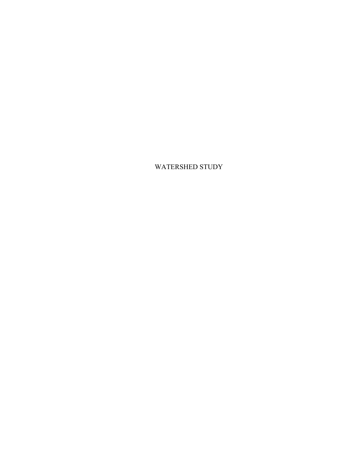WATERSHED STUDY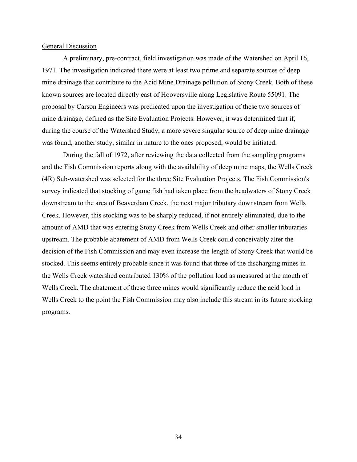#### General Discussion

A preliminary, pre-contract, field investigation was made of the Watershed on April 16, 1971. The investigation indicated there were at least two prime and separate sources of deep mine drainage that contribute to the Acid Mine Drainage pollution of Stony Creek. Both of these known sources are located directly east of Hooversville along Legislative Route 55091. The proposal by Carson Engineers was predicated upon the investigation of these two sources of mine drainage, defined as the Site Evaluation Projects. However, it was determined that if, during the course of the Watershed Study, a more severe singular source of deep mine drainage was found, another study, similar in nature to the ones proposed, would be initiated.

During the fall of 1972, after reviewing the data collected from the sampling programs and the Fish Commission reports along with the availability of deep mine maps, the Wells Creek (4R) Sub-watershed was selected for the three Site Evaluation Projects. The Fish Commission's survey indicated that stocking of game fish had taken place from the headwaters of Stony Creek downstream to the area of Beaverdam Creek, the next major tributary downstream from Wells Creek. However, this stocking was to be sharply reduced, if not entirely eliminated, due to the amount of AMD that was entering Stony Creek from Wells Creek and other smaller tributaries upstream. The probable abatement of AMD from Wells Creek could conceivably alter the decision of the Fish Commission and may even increase the length of Stony Creek that would be stocked. This seems entirely probable since it was found that three of the discharging mines in the Wells Creek watershed contributed 130% of the pollution load as measured at the mouth of Wells Creek. The abatement of these three mines would significantly reduce the acid load in Wells Creek to the point the Fish Commission may also include this stream in its future stocking programs.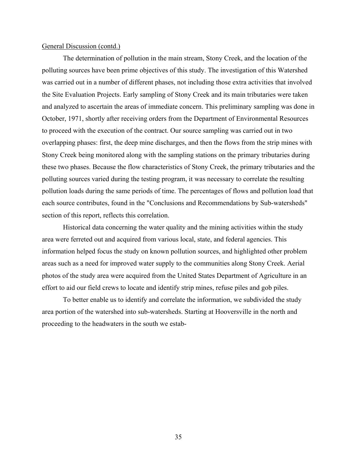The determination of pollution in the main stream, Stony Creek, and the location of the polluting sources have been prime objectives of this study. The investigation of this Watershed was carried out in a number of different phases, not including those extra activities that involved the Site Evaluation Projects. Early sampling of Stony Creek and its main tributaries were taken and analyzed to ascertain the areas of immediate concern. This preliminary sampling was done in October, 1971, shortly after receiving orders from the Department of Environmental Resources to proceed with the execution of the contract. Our source sampling was carried out in two overlapping phases: first, the deep mine discharges, and then the flows from the strip mines with Stony Creek being monitored along with the sampling stations on the primary tributaries during these two phases. Because the flow characteristics of Stony Creek, the primary tributaries and the polluting sources varied during the testing program, it was necessary to correlate the resulting pollution loads during the same periods of time. The percentages of flows and pollution load that each source contributes, found in the "Conclusions and Recommendations by Sub-watersheds" section of this report, reflects this correlation.

Historical data concerning the water quality and the mining activities within the study area were ferreted out and acquired from various local, state, and federal agencies. This information helped focus the study on known pollution sources, and highlighted other problem areas such as a need for improved water supply to the communities along Stony Creek. Aerial photos of the study area were acquired from the United States Department of Agriculture in an effort to aid our field crews to locate and identify strip mines, refuse piles and gob piles.

To better enable us to identify and correlate the information, we subdivided the study area portion of the watershed into sub-watersheds. Starting at Hooversville in the north and proceeding to the headwaters in the south we estab-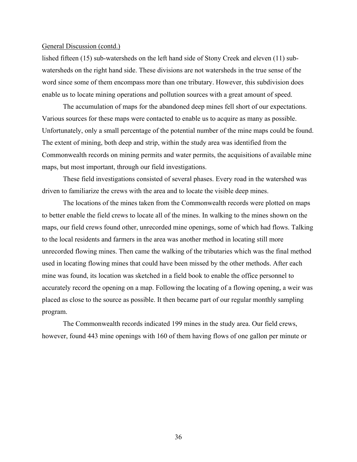lished fifteen (15) sub-watersheds on the left hand side of Stony Creek and eleven (11) subwatersheds on the right hand side. These divisions are not watersheds in the true sense of the word since some of them encompass more than one tributary. However, this subdivision does enable us to locate mining operations and pollution sources with a great amount of speed.

The accumulation of maps for the abandoned deep mines fell short of our expectations. Various sources for these maps were contacted to enable us to acquire as many as possible. Unfortunately, only a small percentage of the potential number of the mine maps could be found. The extent of mining, both deep and strip, within the study area was identified from the Commonwealth records on mining permits and water permits, the acquisitions of available mine maps, but most important, through our field investigations.

These field investigations consisted of several phases. Every road in the watershed was driven to familiarize the crews with the area and to locate the visible deep mines.

The locations of the mines taken from the Commonwealth records were plotted on maps to better enable the field crews to locate all of the mines. In walking to the mines shown on the maps, our field crews found other, unrecorded mine openings, some of which had flows. Talking to the local residents and farmers in the area was another method in locating still more unrecorded flowing mines. Then came the walking of the tributaries which was the final method used in locating flowing mines that could have been missed by the other methods. After each mine was found, its location was sketched in a field book to enable the office personnel to accurately record the opening on a map. Following the locating of a flowing opening, a weir was placed as close to the source as possible. It then became part of our regular monthly sampling program.

The Commonwealth records indicated 199 mines in the study area. Our field crews, however, found 443 mine openings with 160 of them having flows of one gallon per minute or

36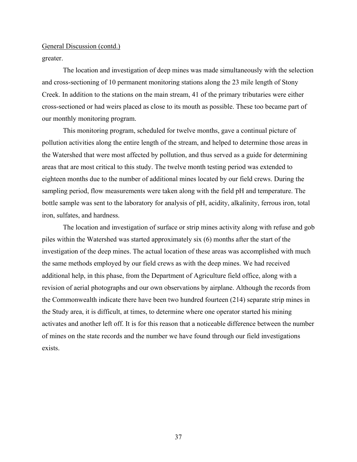#### greater.

The location and investigation of deep mines was made simultaneously with the selection and cross-sectioning of 10 permanent monitoring stations along the 23 mile length of Stony Creek. In addition to the stations on the main stream, 41 of the primary tributaries were either cross-sectioned or had weirs placed as close to its mouth as possible. These too became part of our monthly monitoring program.

This monitoring program, scheduled for twelve months, gave a continual picture of pollution activities along the entire length of the stream, and helped to determine those areas in the Watershed that were most affected by pollution, and thus served as a guide for determining areas that are most critical to this study. The twelve month testing period was extended to eighteen months due to the number of additional mines located by our field crews. During the sampling period, flow measurements were taken along with the field pH and temperature. The bottle sample was sent to the laboratory for analysis of pH, acidity, alkalinity, ferrous iron, total iron, sulfates, and hardness.

The location and investigation of surface or strip mines activity along with refuse and gob piles within the Watershed was started approximately six (6) months after the start of the investigation of the deep mines. The actual location of these areas was accomplished with much the same methods employed by our field crews as with the deep mines. We had received additional help, in this phase, from the Department of Agriculture field office, along with a revision of aerial photographs and our own observations by airplane. Although the records from the Commonwealth indicate there have been two hundred fourteen (214) separate strip mines in the Study area, it is difficult, at times, to determine where one operator started his mining activates and another left off. It is for this reason that a noticeable difference between the number of mines on the state records and the number we have found through our field investigations exists.

37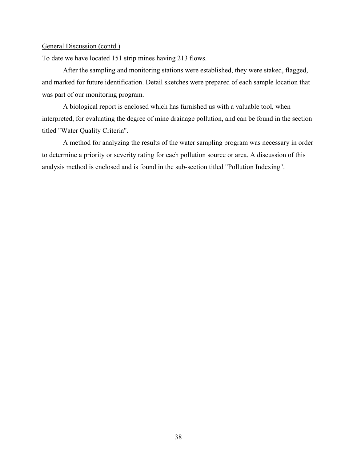To date we have located 151 strip mines having 213 flows.

After the sampling and monitoring stations were established, they were staked, flagged, and marked for future identification. Detail sketches were prepared of each sample location that was part of our monitoring program.

A biological report is enclosed which has furnished us with a valuable tool, when interpreted, for evaluating the degree of mine drainage pollution, and can be found in the section titled "Water Quality Criteria".

A method for analyzing the results of the water sampling program was necessary in order to determine a priority or severity rating for each pollution source or area. A discussion of this analysis method is enclosed and is found in the sub-section titled "Pollution Indexing".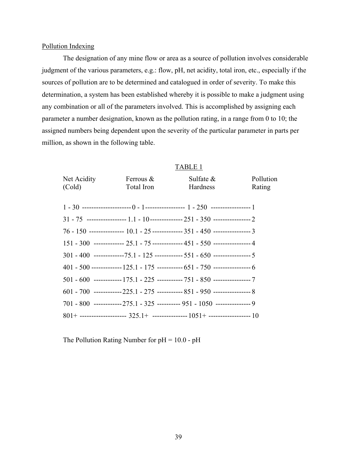#### Pollution Indexing

The designation of any mine flow or area as a source of pollution involves considerable judgment of the various parameters, e.g.: flow, pH, net acidity, total iron, etc., especially if the sources of pollution are to be determined and catalogued in order of severity. To make this determination, a system has been established whereby it is possible to make a judgment using any combination or all of the parameters involved. This is accomplished by assigning each parameter a number designation, known as the pollution rating, in a range from 0 to 10; the assigned numbers being dependent upon the severity of the particular parameter in parts per million, as shown in the following table.

#### TABLE 1

| Net Acidity | Ferrous $\&$                                                                          | Sulfate $\&$ | Pollution |
|-------------|---------------------------------------------------------------------------------------|--------------|-----------|
| (Cold)      | Total Iron                                                                            | Hardness     | Rating    |
|             |                                                                                       |              |           |
|             |                                                                                       |              |           |
|             | $31 - 75$ ----------------- $1.1 - 10$ --------------- $251 - 350$ ---------------- 2 |              |           |
|             | 76 - 150 --------------- 10.1 - 25 ------------- 351 - 450 ---------------- 3         |              |           |
|             | $151 - 300$ ------------- $25.1 - 75$ ------------- $451 - 550$ --------------- 4     |              |           |
|             | $301 - 400$ -------------75.1 - 125 ------------ 551 - 650 ---------------- 5         |              |           |
|             | $401 - 500$ ------------- $125.1 - 175$ ----------- $651 - 750$ ---------------- $6$  |              |           |
|             | $501 - 600$ ------------ $175.1 - 225$ ----------- $751 - 850$ ---------------- 7     |              |           |
|             | $601 - 700$ ------------225.1 - 275 ----------- 851 - 950 -------------------- 8      |              |           |
|             | $701 - 800$ ------------275.1 - 325 ---------- 951 - 1050 --------------- 9           |              |           |
|             | $801+$ ------------------- $325.1+$ --------------- $1051+$ ------------------ 10     |              |           |

The Pollution Rating Number for  $pH = 10.0 - pH$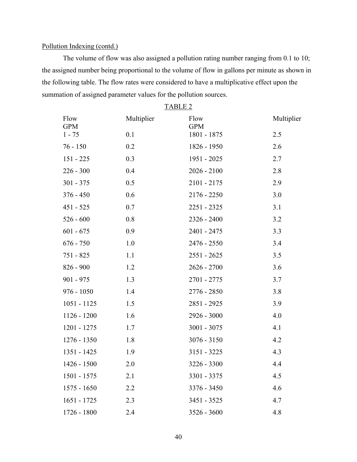The volume of flow was also assigned a pollution rating number ranging from 0.1 to 10; the assigned number being proportional to the volume of flow in gallons per minute as shown in the following table. The flow rates were considered to have a multiplicative effect upon the summation of assigned parameter values for the pollution sources.

| Flow<br><b>GPM</b> | Multiplier | Flow<br><b>GPM</b> | Multiplier |
|--------------------|------------|--------------------|------------|
| $1 - 75$           | 0.1        | 1801 - 1875        | 2.5        |
| $76 - 150$         | 0.2        | 1826 - 1950        | 2.6        |
| $151 - 225$        | 0.3        | 1951 - 2025        | 2.7        |
| $226 - 300$        | 0.4        | $2026 - 2100$      | 2.8        |
| $301 - 375$        | 0.5        | 2101 - 2175        | 2.9        |
| $376 - 450$        | 0.6        | $2176 - 2250$      | 3.0        |
| $451 - 525$        | 0.7        | 2251 - 2325        | 3.1        |
| $526 - 600$        | 0.8        | $2326 - 2400$      | 3.2        |
| $601 - 675$        | 0.9        | 2401 - 2475        | 3.3        |
| $676 - 750$        | 1.0        | 2476 - 2550        | 3.4        |
| 751 - 825          | 1.1        | $2551 - 2625$      | 3.5        |
| $826 - 900$        | 1.2        | $2626 - 2700$      | 3.6        |
| $901 - 975$        | 1.3        | 2701 - 2775        | 3.7        |
| $976 - 1050$       | 1.4        | 2776 - 2850        | 3.8        |
| $1051 - 1125$      | 1.5        | 2851 - 2925        | 3.9        |
| $1126 - 1200$      | 1.6        | $2926 - 3000$      | 4.0        |
| 1201 - 1275        | 1.7        | $3001 - 3075$      | 4.1        |
| $1276 - 1350$      | 1.8        | $3076 - 3150$      | 4.2        |
| 1351 - 1425        | 1.9        | $3151 - 3225$      | 4.3        |
| $1426 - 1500$      | 2.0        | 3226 - 3300        | 4.4        |
| 1501 - 1575        | 2.1        | 3301 - 3375        | 4.5        |
| $1575 - 1650$      | 2.2        | 3376 - 3450        | 4.6        |
| $1651 - 1725$      | 2.3        | 3451 - 3525        | 4.7        |
| 1726 - 1800        | 2.4        | 3526 - 3600        | 4.8        |

TABLE 2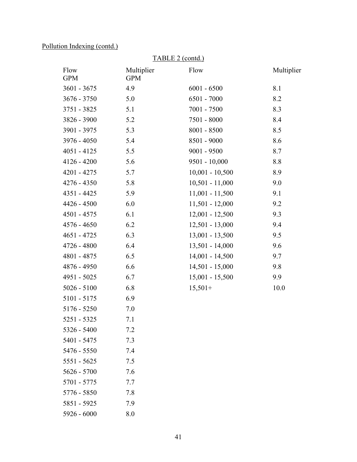5551 - 5625 7.5 5626 - 5700 7.6 5701 - 5775 7.7 5776 - 5850 7.8 5851 - 5925 7.9  $5926 - 6000$  8.0

| TABLE 2 (contd.)   |                          |                   |            |
|--------------------|--------------------------|-------------------|------------|
| Flow<br><b>GPM</b> | Multiplier<br><b>GPM</b> | Flow              | Multiplier |
| $3601 - 3675$      | 4.9                      | $6001 - 6500$     | 8.1        |
| $3676 - 3750$      | 5.0                      | 6501 - 7000       | 8.2        |
| 3751 - 3825        | 5.1                      | 7001 - 7500       | 8.3        |
| 3826 - 3900        | 5.2                      | 7501 - 8000       | 8.4        |
| 3901 - 3975        | 5.3                      | $8001 - 8500$     | 8.5        |
| 3976 - 4050        | 5.4                      | 8501 - 9000       | 8.6        |
| $4051 - 4125$      | 5.5                      | $9001 - 9500$     | 8.7        |
| $4126 - 4200$      | 5.6                      | $9501 - 10,000$   | 8.8        |
| $4201 - 4275$      | 5.7                      | $10,001 - 10,500$ | 8.9        |
| 4276 - 4350        | 5.8                      | $10,501 - 11,000$ | 9.0        |
| 4351 - 4425        | 5.9                      | $11,001 - 11,500$ | 9.1        |
| $4426 - 4500$      | 6.0                      | $11,501 - 12,000$ | 9.2        |
| 4501 - 4575        | 6.1                      | $12,001 - 12,500$ | 9.3        |
| 4576 - 4650        | 6.2                      | $12,501 - 13,000$ | 9.4        |
| $4651 - 4725$      | 6.3                      | $13,001 - 13,500$ | 9.5        |
| $4726 - 4800$      | 6.4                      | $13,501 - 14,000$ | 9.6        |
| 4801 - 4875        | 6.5                      | $14,001 - 14,500$ | 9.7        |
| 4876 - 4950        | 6.6                      | $14,501 - 15,000$ | 9.8        |
| 4951 - 5025        | 6.7                      | $15,001 - 15,500$ | 9.9        |
| $5026 - 5100$      | 6.8                      | $15,501+$         | 10.0       |
| $5101 - 5175$      | 6.9                      |                   |            |
| $5176 - 5250$      | 7.0                      |                   |            |
| 5251 - 5325        | 7.1                      |                   |            |
| 5326 - 5400        | 7.2                      |                   |            |
| 5401 - 5475        | 7.3                      |                   |            |
| 5476 - 5550        | 7.4                      |                   |            |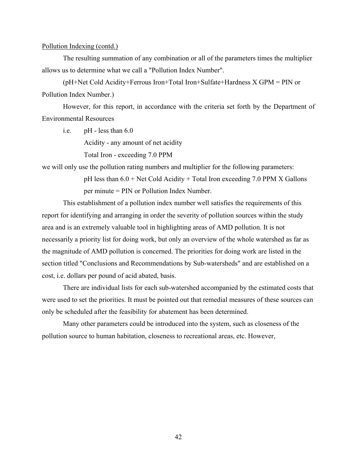The resulting summation of any combination or all of the parameters times the multiplier allows us to determine what we call a "Pollution Index Number".

(pH+Net Cold Acidity+Ferrous Iron+Total Iron+Sulfate+Hardness X GPM = PIN or Pollution Index Number.)

However, for this report, in accordance with the criteria set forth by the Department of Environmental Resources

i.e. pH - less than 6.0

Acidity - any amount of net acidity

Total Iron - exceeding 7.0 PPM

we will only use the pollution rating numbers and multiplier for the following parameters:

pH less than  $6.0 +$  Net Cold Acidity + Total Iron exceeding 7.0 PPM X Gallons per minute = PIN or Pollution Index Number.

This establishment of a pollution index number well satisfies the requirements of this report for identifying and arranging in order the severity of pollution sources within the study area and is an extremely valuable tool in highlighting areas of AMD pollution. It is not necessarily a priority list for doing work, but only an overview of the whole watershed as far as the magnitude of AMD pollution is concerned. The priorities for doing work are listed in the section titled "Conclusions and Recommendations by Sub-watersheds" and are established on a cost, i.e. dollars per pound of acid abated, basis.

There are individual lists for each sub-watershed accompanied by the estimated costs that were used to set the priorities. It must be pointed out that remedial measures of these sources can only be scheduled after the feasibility for abatement has been determined.

Many other parameters could be introduced into the system, such as closeness of the pollution source to human habitation, closeness to recreational areas, etc. However,

42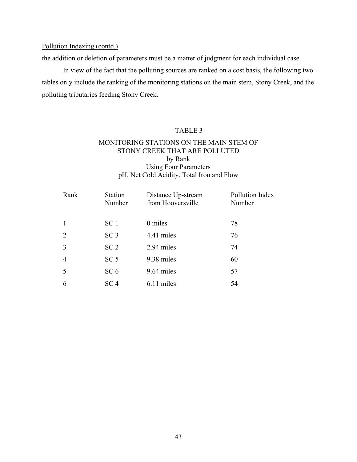the addition or deletion of parameters must be a matter of judgment for each individual case.

In view of the fact that the polluting sources are ranked on a cost basis, the following two tables only include the ranking of the monitoring stations on the main stem, Stony Creek, and the polluting tributaries feeding Stony Creek.

### TABLE 3

### MONITORING STATIONS ON THE MAIN STEM OF STONY CREEK THAT ARE POLLUTED by Rank Using Four Parameters pH, Net Cold Acidity, Total Iron and Flow

| Rank | <b>Station</b><br>Number | Distance Up-stream<br>from Hooversville | Pollution Index<br>Number |
|------|--------------------------|-----------------------------------------|---------------------------|
|      | SC <sub>1</sub>          | 0 miles                                 | 78                        |
| 2    | SC <sub>3</sub>          | 4.41 miles                              | 76                        |
| 3    | SC <sub>2</sub>          | 2.94 miles                              | 74                        |
| 4    | SC <sub>5</sub>          | 9.38 miles                              | 60                        |
| 5    | SC <sub>6</sub>          | 9.64 miles                              | 57                        |
| 6    | SC <sub>4</sub>          | 6.11 miles                              | 54                        |